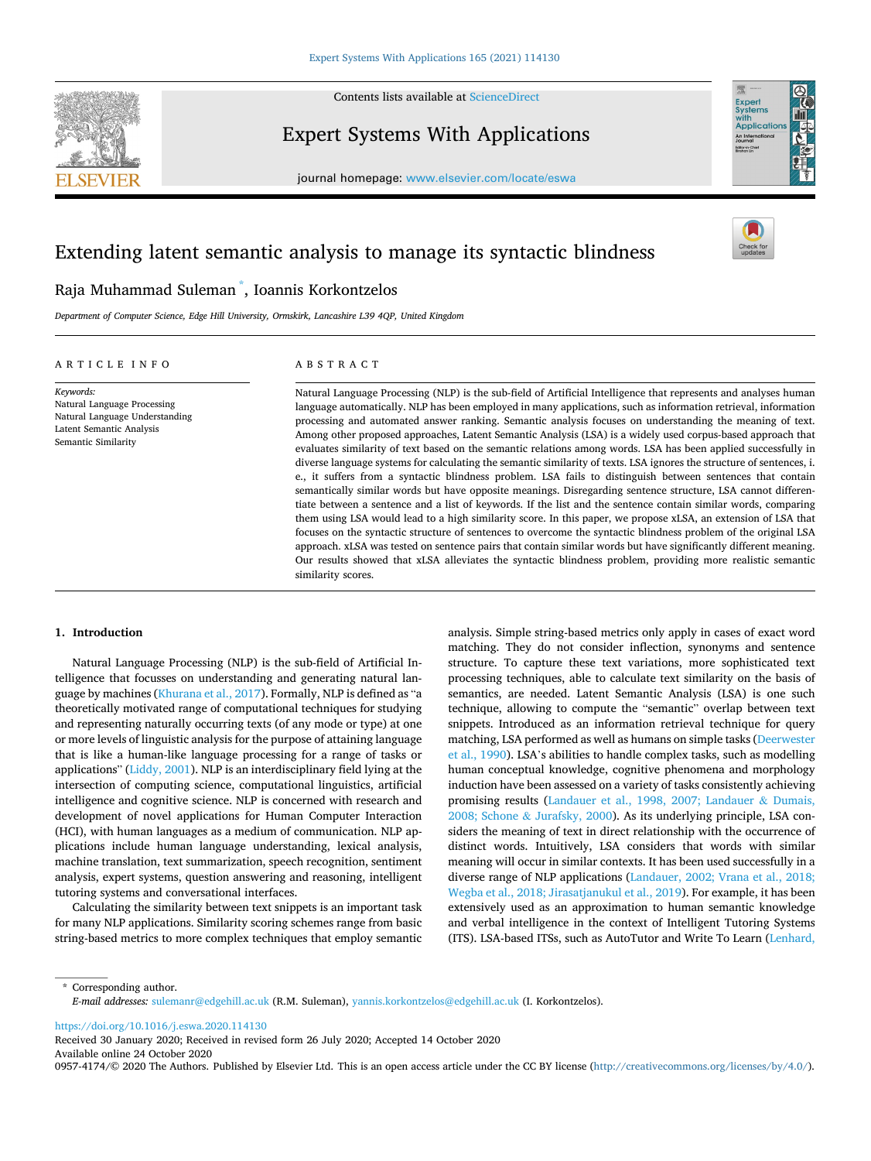

Contents lists available at [ScienceDirect](www.sciencedirect.com/science/journal/09574174)

Expert Systems With Applications



journal homepage: [www.elsevier.com/locate/eswa](https://www.elsevier.com/locate/eswa)

# Extending latent semantic analysis to manage its syntactic blindness



# Raja Muhammad Suleman \* , Ioannis Korkontzelos

*Department of Computer Science, Edge Hill University, Ormskirk, Lancashire L39 4QP, United Kingdom* 

# ARTICLE INFO

*Keywords:*  Natural Language Processing Natural Language Understanding Latent Semantic Analysis Semantic Similarity

# ABSTRACT

Natural Language Processing (NLP) is the sub-field of Artificial Intelligence that represents and analyses human language automatically. NLP has been employed in many applications, such as information retrieval, information processing and automated answer ranking. Semantic analysis focuses on understanding the meaning of text. Among other proposed approaches, Latent Semantic Analysis (LSA) is a widely used corpus-based approach that evaluates similarity of text based on the semantic relations among words. LSA has been applied successfully in diverse language systems for calculating the semantic similarity of texts. LSA ignores the structure of sentences, i. e., it suffers from a syntactic blindness problem. LSA fails to distinguish between sentences that contain semantically similar words but have opposite meanings. Disregarding sentence structure, LSA cannot differentiate between a sentence and a list of keywords. If the list and the sentence contain similar words, comparing them using LSA would lead to a high similarity score. In this paper, we propose xLSA, an extension of LSA that focuses on the syntactic structure of sentences to overcome the syntactic blindness problem of the original LSA approach. xLSA was tested on sentence pairs that contain similar words but have significantly different meaning. Our results showed that xLSA alleviates the syntactic blindness problem, providing more realistic semantic similarity scores.

# **1. Introduction**

Natural Language Processing (NLP) is the sub-field of Artificial Intelligence that focusses on understanding and generating natural language by machines [\(Khurana et al., 2017](#page-7-0)). Formally, NLP is defined as "a theoretically motivated range of computational techniques for studying and representing naturally occurring texts (of any mode or type) at one or more levels of linguistic analysis for the purpose of attaining language that is like a human-like language processing for a range of tasks or applications" ([Liddy, 2001\)](#page-8-0). NLP is an interdisciplinary field lying at the intersection of computing science, computational linguistics, artificial intelligence and cognitive science. NLP is concerned with research and development of novel applications for Human Computer Interaction (HCI), with human languages as a medium of communication. NLP applications include human language understanding, lexical analysis, machine translation, text summarization, speech recognition, sentiment analysis, expert systems, question answering and reasoning, intelligent tutoring systems and conversational interfaces.

Calculating the similarity between text snippets is an important task for many NLP applications. Similarity scoring schemes range from basic string-based metrics to more complex techniques that employ semantic analysis. Simple string-based metrics only apply in cases of exact word matching. They do not consider inflection, synonyms and sentence structure. To capture these text variations, more sophisticated text processing techniques, able to calculate text similarity on the basis of semantics, are needed. Latent Semantic Analysis (LSA) is one such technique, allowing to compute the "semantic" overlap between text snippets. Introduced as an information retrieval technique for query matching, LSA performed as well as humans on simple tasks [\(Deerwester](#page-7-0)  [et al., 1990](#page-7-0)). LSA's abilities to handle complex tasks, such as modelling human conceptual knowledge, cognitive phenomena and morphology induction have been assessed on a variety of tasks consistently achieving promising results ([Landauer et al., 1998, 2007; Landauer](#page-7-0) & Dumais, 2008; Schone & [Jurafsky, 2000\)](#page-7-0). As its underlying principle, LSA considers the meaning of text in direct relationship with the occurrence of distinct words. Intuitively, LSA considers that words with similar meaning will occur in similar contexts. It has been used successfully in a diverse range of NLP applications [\(Landauer, 2002; Vrana et al., 2018;](#page-8-0)  [Wegba et al., 2018; Jirasatjanukul et al., 2019](#page-8-0)). For example, it has been extensively used as an approximation to human semantic knowledge and verbal intelligence in the context of Intelligent Tutoring Systems (ITS). LSA-based ITSs, such as AutoTutor and Write To Learn ([Lenhard,](#page-8-0) 

\* Corresponding author. *E-mail addresses:* [sulemanr@edgehill.ac.uk](mailto:sulemanr@edgehill.ac.uk) (R.M. Suleman), [yannis.korkontzelos@edgehill.ac.uk](mailto:yannis.korkontzelos@edgehill.ac.uk) (I. Korkontzelos).

<https://doi.org/10.1016/j.eswa.2020.114130>

Available online 24 October 2020 Received 30 January 2020; Received in revised form 26 July 2020; Accepted 14 October 2020

0957-4174/© 2020 The Authors. Published by Elsevier Ltd. This is an open access article under the CC BY license [\(http://creativecommons.org/licenses/by/4.0/\)](http://creativecommons.org/licenses/by/4.0/).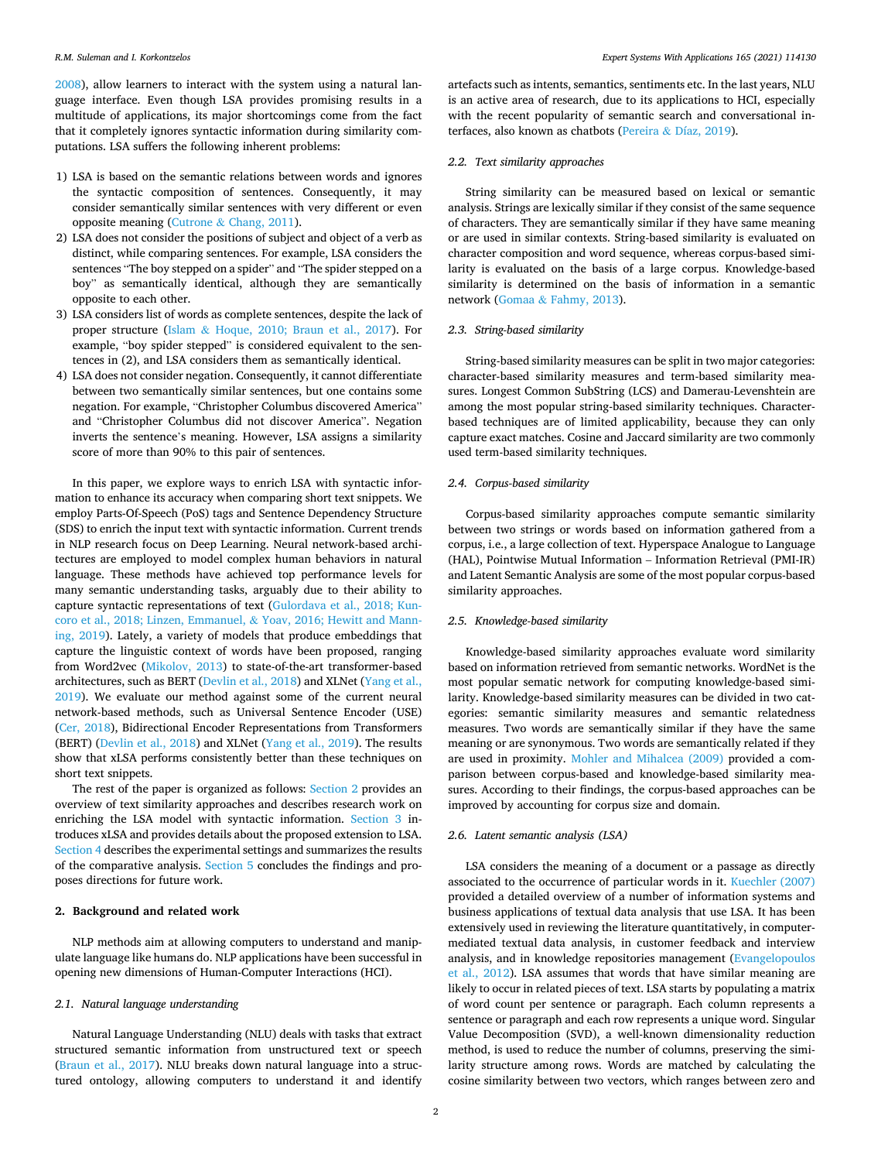### *R.M. Suleman and I. Korkontzelos*

[2008\)](#page-8-0), allow learners to interact with the system using a natural language interface. Even though LSA provides promising results in a multitude of applications, its major shortcomings come from the fact that it completely ignores syntactic information during similarity computations. LSA suffers the following inherent problems:

- 1) LSA is based on the semantic relations between words and ignores the syntactic composition of sentences. Consequently, it may consider semantically similar sentences with very different or even opposite meaning (Cutrone & [Chang, 2011](#page-7-0)).
- 2) LSA does not consider the positions of subject and object of a verb as distinct, while comparing sentences. For example, LSA considers the sentences "The boy stepped on a spider" and "The spider stepped on a boy" as semantically identical, although they are semantically opposite to each other.
- 3) LSA considers list of words as complete sentences, despite the lack of proper structure (Islam & [Hoque, 2010; Braun et al., 2017\)](#page-7-0). For example, "boy spider stepped" is considered equivalent to the sentences in (2), and LSA considers them as semantically identical.
- 4) LSA does not consider negation. Consequently, it cannot differentiate between two semantically similar sentences, but one contains some negation. For example, "Christopher Columbus discovered America" and "Christopher Columbus did not discover America". Negation inverts the sentence's meaning. However, LSA assigns a similarity score of more than 90% to this pair of sentences.

In this paper, we explore ways to enrich LSA with syntactic information to enhance its accuracy when comparing short text snippets. We employ Parts-Of-Speech (PoS) tags and Sentence Dependency Structure (SDS) to enrich the input text with syntactic information. Current trends in NLP research focus on Deep Learning. Neural network-based architectures are employed to model complex human behaviors in natural language. These methods have achieved top performance levels for many semantic understanding tasks, arguably due to their ability to capture syntactic representations of text ([Gulordava et al., 2018; Kun](#page-7-0)[coro et al., 2018; Linzen, Emmanuel,](#page-7-0) & Yoav, 2016; Hewitt and Mann[ing, 2019](#page-7-0)). Lately, a variety of models that produce embeddings that capture the linguistic context of words have been proposed, ranging from Word2vec ([Mikolov, 2013](#page-8-0)) to state-of-the-art transformer-based architectures, such as BERT ([Devlin et al., 2018](#page-7-0)) and XLNet ([Yang et al.,](#page-8-0)  [2019\)](#page-8-0). We evaluate our method against some of the current neural network-based methods, such as Universal Sentence Encoder (USE) ([Cer, 2018\)](#page-7-0), Bidirectional Encoder Representations from Transformers (BERT) [\(Devlin et al., 2018](#page-7-0)) and XLNet ([Yang et al., 2019](#page-8-0)). The results show that xLSA performs consistently better than these techniques on short text snippets.

The rest of the paper is organized as follows: Section 2 provides an overview of text similarity approaches and describes research work on enriching the LSA model with syntactic information. [Section 3](#page-3-0) introduces xLSA and provides details about the proposed extension to LSA. Section 4 describes the experimental settings and summarizes the results of the comparative analysis. [Section 5](#page-4-0) concludes the findings and proposes directions for future work.

# **2. Background and related work**

NLP methods aim at allowing computers to understand and manipulate language like humans do. NLP applications have been successful in opening new dimensions of Human-Computer Interactions (HCI).

# *2.1. Natural language understanding*

Natural Language Understanding (NLU) deals with tasks that extract structured semantic information from unstructured text or speech ([Braun et al., 2017](#page-7-0)). NLU breaks down natural language into a structured ontology, allowing computers to understand it and identify artefacts such as intents, semantics, sentiments etc. In the last years, NLU is an active area of research, due to its applications to HCI, especially with the recent popularity of semantic search and conversational interfaces, also known as chatbots (Pereira & [Díaz, 2019](#page-8-0)).

### *2.2. Text similarity approaches*

String similarity can be measured based on lexical or semantic analysis. Strings are lexically similar if they consist of the same sequence of characters. They are semantically similar if they have same meaning or are used in similar contexts. String-based similarity is evaluated on character composition and word sequence, whereas corpus-based similarity is evaluated on the basis of a large corpus. Knowledge-based similarity is determined on the basis of information in a semantic network (Gomaa & [Fahmy, 2013](#page-7-0)).

# *2.3. String-based similarity*

String-based similarity measures can be split in two major categories: character-based similarity measures and term-based similarity measures. Longest Common SubString (LCS) and Damerau-Levenshtein are among the most popular string-based similarity techniques. Characterbased techniques are of limited applicability, because they can only capture exact matches. Cosine and Jaccard similarity are two commonly used term-based similarity techniques.

# *2.4. Corpus-based similarity*

Corpus-based similarity approaches compute semantic similarity between two strings or words based on information gathered from a corpus, i.e., a large collection of text. Hyperspace Analogue to Language (HAL), Pointwise Mutual Information – Information Retrieval (PMI-IR) and Latent Semantic Analysis are some of the most popular corpus-based similarity approaches.

### *2.5. Knowledge-based similarity*

Knowledge-based similarity approaches evaluate word similarity based on information retrieved from semantic networks. WordNet is the most popular sematic network for computing knowledge-based similarity. Knowledge-based similarity measures can be divided in two categories: semantic similarity measures and semantic relatedness measures. Two words are semantically similar if they have the same meaning or are synonymous. Two words are semantically related if they are used in proximity. [Mohler and Mihalcea \(2009\)](#page-8-0) provided a comparison between corpus-based and knowledge-based similarity measures. According to their findings, the corpus-based approaches can be improved by accounting for corpus size and domain.

### *2.6. Latent semantic analysis (LSA)*

LSA considers the meaning of a document or a passage as directly associated to the occurrence of particular words in it. [Kuechler \(2007\)](#page-7-0)  provided a detailed overview of a number of information systems and business applications of textual data analysis that use LSA. It has been extensively used in reviewing the literature quantitatively, in computermediated textual data analysis, in customer feedback and interview analysis, and in knowledge repositories management [\(Evangelopoulos](#page-7-0)  [et al., 2012\)](#page-7-0). LSA assumes that words that have similar meaning are likely to occur in related pieces of text. LSA starts by populating a matrix of word count per sentence or paragraph. Each column represents a sentence or paragraph and each row represents a unique word. Singular Value Decomposition (SVD), a well-known dimensionality reduction method, is used to reduce the number of columns, preserving the similarity structure among rows. Words are matched by calculating the cosine similarity between two vectors, which ranges between zero and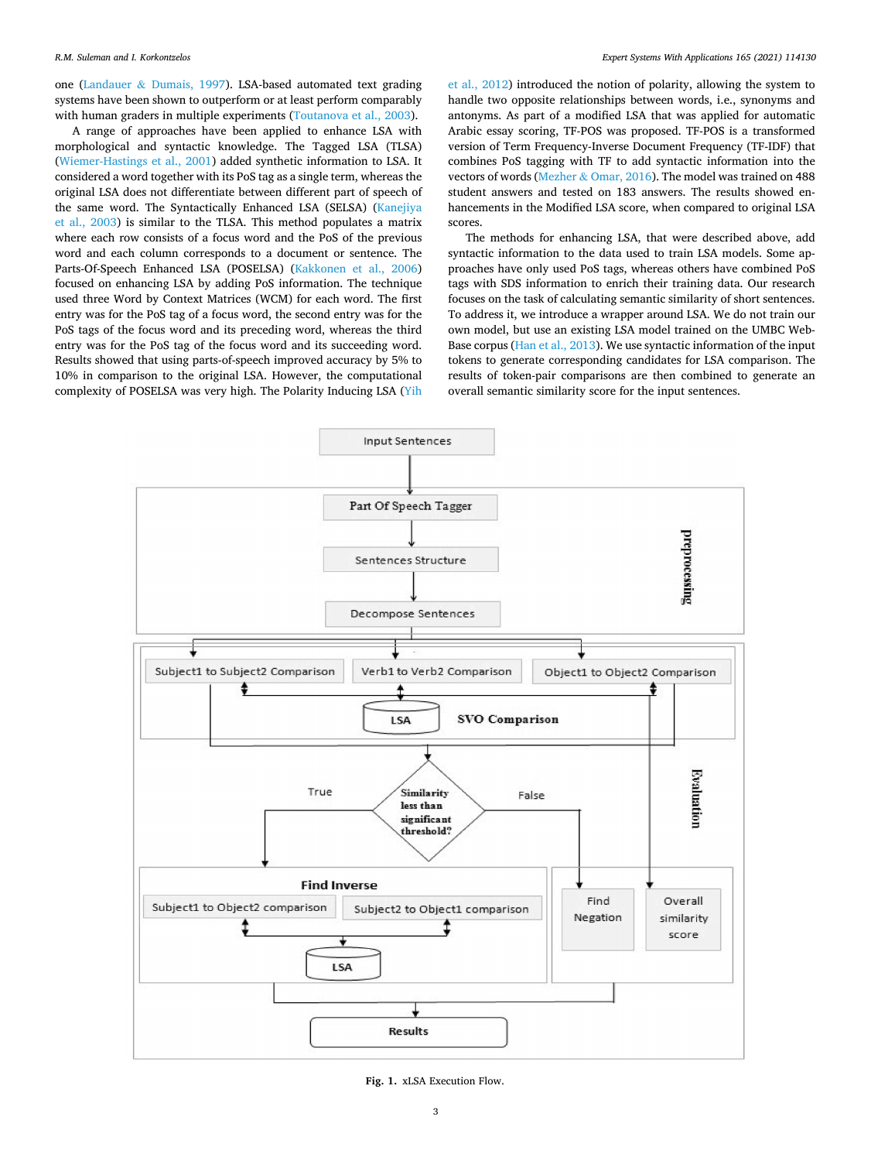<span id="page-2-0"></span>one (Landauer & [Dumais, 1997](#page-7-0)). LSA-based automated text grading systems have been shown to outperform or at least perform comparably with human graders in multiple experiments ([Toutanova et al., 2003\)](#page-8-0).

A range of approaches have been applied to enhance LSA with morphological and syntactic knowledge. The Tagged LSA (TLSA) ([Wiemer-Hastings et al., 2001\)](#page-8-0) added synthetic information to LSA. It considered a word together with its PoS tag as a single term, whereas the original LSA does not differentiate between different part of speech of the same word. The Syntactically Enhanced LSA (SELSA) (Kanejiya [et al., 2003\)](#page-7-0) is similar to the TLSA. This method populates a matrix where each row consists of a focus word and the PoS of the previous word and each column corresponds to a document or sentence. The Parts-Of-Speech Enhanced LSA (POSELSA) ([Kakkonen et al., 2006\)](#page-7-0) focused on enhancing LSA by adding PoS information. The technique used three Word by Context Matrices (WCM) for each word. The first entry was for the PoS tag of a focus word, the second entry was for the PoS tags of the focus word and its preceding word, whereas the third entry was for the PoS tag of the focus word and its succeeding word. Results showed that using parts-of-speech improved accuracy by 5% to 10% in comparison to the original LSA. However, the computational complexity of POSELSA was very high. The Polarity Inducing LSA ([Yih](#page-8-0) 

[et al., 2012\)](#page-8-0) introduced the notion of polarity, allowing the system to handle two opposite relationships between words, i.e., synonyms and antonyms. As part of a modified LSA that was applied for automatic Arabic essay scoring, TF-POS was proposed. TF-POS is a transformed version of Term Frequency-Inverse Document Frequency (TF-IDF) that combines PoS tagging with TF to add syntactic information into the vectors of words (Mezher & [Omar, 2016\)](#page-8-0). The model was trained on 488 student answers and tested on 183 answers. The results showed enhancements in the Modified LSA score, when compared to original LSA scores.

The methods for enhancing LSA, that were described above, add syntactic information to the data used to train LSA models. Some approaches have only used PoS tags, whereas others have combined PoS tags with SDS information to enrich their training data. Our research focuses on the task of calculating semantic similarity of short sentences. To address it, we introduce a wrapper around LSA. We do not train our own model, but use an existing LSA model trained on the UMBC Web-Base corpus [\(Han et al., 2013\)](#page-7-0). We use syntactic information of the input tokens to generate corresponding candidates for LSA comparison. The results of token-pair comparisons are then combined to generate an overall semantic similarity score for the input sentences.



**Fig. 1.** xLSA Execution Flow.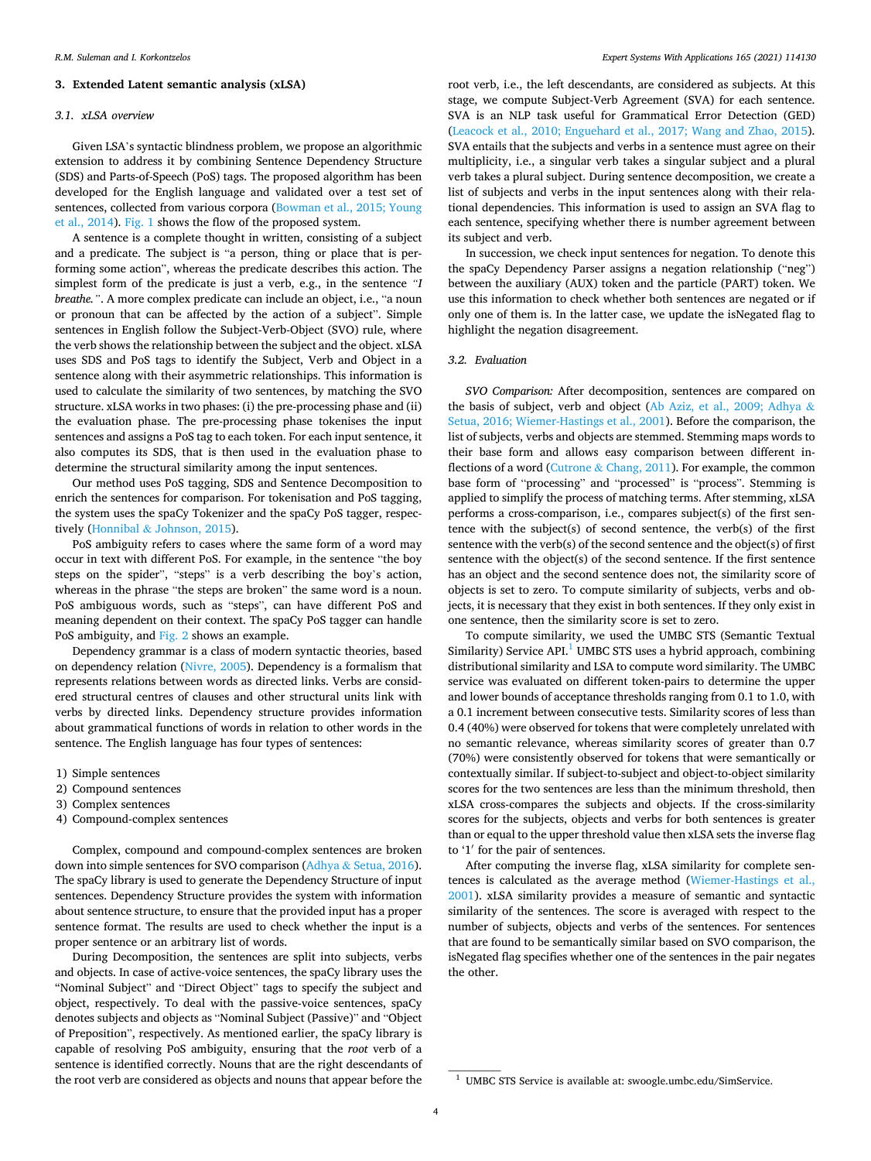# <span id="page-3-0"></span>**3. Extended Latent semantic analysis (xLSA)**

### *3.1. xLSA overview*

Given LSA's syntactic blindness problem, we propose an algorithmic extension to address it by combining Sentence Dependency Structure (SDS) and Parts-of-Speech (PoS) tags. The proposed algorithm has been developed for the English language and validated over a test set of sentences, collected from various corpora ([Bowman et al., 2015; Young](#page-7-0)  [et al., 2014\)](#page-7-0). [Fig. 1](#page-2-0) shows the flow of the proposed system.

A sentence is a complete thought in written, consisting of a subject and a predicate. The subject is "a person, thing or place that is performing some action", whereas the predicate describes this action. The simplest form of the predicate is just a verb, e.g., in the sentence *"I breathe."*. A more complex predicate can include an object, i.e., "a noun or pronoun that can be affected by the action of a subject". Simple sentences in English follow the Subject-Verb-Object (SVO) rule, where the verb shows the relationship between the subject and the object. xLSA uses SDS and PoS tags to identify the Subject, Verb and Object in a sentence along with their asymmetric relationships. This information is used to calculate the similarity of two sentences, by matching the SVO structure. xLSA works in two phases: (i) the pre-processing phase and (ii) the evaluation phase. The pre-processing phase tokenises the input sentences and assigns a PoS tag to each token. For each input sentence, it also computes its SDS, that is then used in the evaluation phase to determine the structural similarity among the input sentences.

Our method uses PoS tagging, SDS and Sentence Decomposition to enrich the sentences for comparison. For tokenisation and PoS tagging, the system uses the spaCy Tokenizer and the spaCy PoS tagger, respectively (Honnibal & [Johnson, 2015](#page-7-0)).

PoS ambiguity refers to cases where the same form of a word may occur in text with different PoS. For example, in the sentence "the boy steps on the spider", "steps" is a verb describing the boy's action, whereas in the phrase "the steps are broken" the same word is a noun. PoS ambiguous words, such as "steps", can have different PoS and meaning dependent on their context. The spaCy PoS tagger can handle PoS ambiguity, and [Fig. 2](#page-4-0) shows an example.

Dependency grammar is a class of modern syntactic theories, based on dependency relation [\(Nivre, 2005\)](#page-8-0). Dependency is a formalism that represents relations between words as directed links. Verbs are considered structural centres of clauses and other structural units link with verbs by directed links. Dependency structure provides information about grammatical functions of words in relation to other words in the sentence. The English language has four types of sentences:

- 1) Simple sentences
- 2) Compound sentences
- 3) Complex sentences
- 4) Compound-complex sentences

Complex, compound and compound-complex sentences are broken down into simple sentences for SVO comparison (Adhya & [Setua, 2016](#page-7-0)). The spaCy library is used to generate the Dependency Structure of input sentences. Dependency Structure provides the system with information about sentence structure, to ensure that the provided input has a proper sentence format. The results are used to check whether the input is a proper sentence or an arbitrary list of words.

During Decomposition, the sentences are split into subjects, verbs and objects. In case of active-voice sentences, the spaCy library uses the "Nominal Subject" and "Direct Object" tags to specify the subject and object, respectively. To deal with the passive-voice sentences, spaCy denotes subjects and objects as "Nominal Subject (Passive)" and "Object of Preposition", respectively. As mentioned earlier, the spaCy library is capable of resolving PoS ambiguity, ensuring that the *root* verb of a sentence is identified correctly. Nouns that are the right descendants of the root verb are considered as objects and nouns that appear before the root verb, i.e., the left descendants, are considered as subjects. At this stage, we compute Subject-Verb Agreement (SVA) for each sentence. SVA is an NLP task useful for Grammatical Error Detection (GED) ([Leacock et al., 2010; Enguehard et al., 2017; Wang and Zhao, 2015](#page-8-0)). SVA entails that the subjects and verbs in a sentence must agree on their multiplicity, i.e., a singular verb takes a singular subject and a plural verb takes a plural subject. During sentence decomposition, we create a list of subjects and verbs in the input sentences along with their relational dependencies. This information is used to assign an SVA flag to each sentence, specifying whether there is number agreement between its subject and verb.

In succession, we check input sentences for negation. To denote this the spaCy Dependency Parser assigns a negation relationship ("neg") between the auxiliary (AUX) token and the particle (PART) token. We use this information to check whether both sentences are negated or if only one of them is. In the latter case, we update the isNegated flag to highlight the negation disagreement.

## *3.2. Evaluation*

*SVO Comparison:* After decomposition, sentences are compared on the basis of subject, verb and object ([Ab Aziz, et al., 2009; Adhya](#page-7-0)  $\&$ [Setua, 2016; Wiemer-Hastings et al., 2001](#page-7-0)). Before the comparison, the list of subjects, verbs and objects are stemmed. Stemming maps words to their base form and allows easy comparison between different inflections of a word (Cutrone & [Chang, 2011](#page-7-0)). For example, the common base form of "processing" and "processed" is "process". Stemming is applied to simplify the process of matching terms. After stemming, xLSA performs a cross-comparison, i.e., compares subject(s) of the first sentence with the subject(s) of second sentence, the verb(s) of the first sentence with the verb(s) of the second sentence and the object(s) of first sentence with the object(s) of the second sentence. If the first sentence has an object and the second sentence does not, the similarity score of objects is set to zero. To compute similarity of subjects, verbs and objects, it is necessary that they exist in both sentences. If they only exist in one sentence, then the similarity score is set to zero.

To compute similarity, we used the UMBC STS (Semantic Textual Similarity) Service API. $1$  UMBC STS uses a hybrid approach, combining distributional similarity and LSA to compute word similarity. The UMBC service was evaluated on different token-pairs to determine the upper and lower bounds of acceptance thresholds ranging from 0.1 to 1.0, with a 0.1 increment between consecutive tests. Similarity scores of less than 0.4 (40%) were observed for tokens that were completely unrelated with no semantic relevance, whereas similarity scores of greater than 0.7 (70%) were consistently observed for tokens that were semantically or contextually similar. If subject-to-subject and object-to-object similarity scores for the two sentences are less than the minimum threshold, then xLSA cross-compares the subjects and objects. If the cross-similarity scores for the subjects, objects and verbs for both sentences is greater than or equal to the upper threshold value then xLSA sets the inverse flag to '1′ for the pair of sentences.

After computing the inverse flag, xLSA similarity for complete sentences is calculated as the average method [\(Wiemer-Hastings et al.,](#page-8-0)  [2001\)](#page-8-0). xLSA similarity provides a measure of semantic and syntactic similarity of the sentences. The score is averaged with respect to the number of subjects, objects and verbs of the sentences. For sentences that are found to be semantically similar based on SVO comparison, the isNegated flag specifies whether one of the sentences in the pair negates the other.

<sup>&</sup>lt;sup>1</sup> UMBC STS Service is available at: swoogle.umbc.edu/SimService.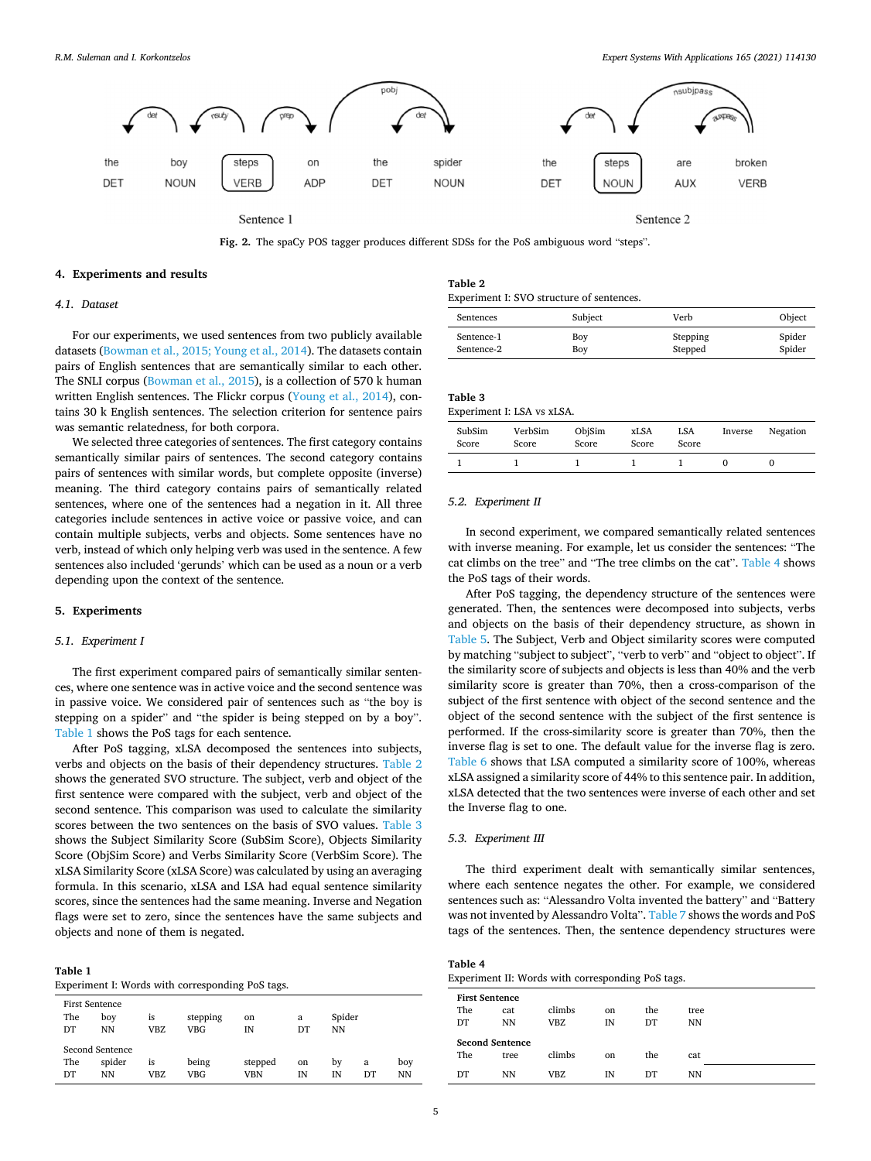<span id="page-4-0"></span>

**Fig. 2.** The spaCy POS tagger produces different SDSs for the PoS ambiguous word "steps".

## **4. Experiments and results**

### *4.1. Dataset*

For our experiments, we used sentences from two publicly available datasets ([Bowman et al., 2015; Young et al., 2014](#page-7-0)). The datasets contain pairs of English sentences that are semantically similar to each other. The SNLI corpus ([Bowman et al., 2015](#page-7-0)), is a collection of 570 k human written English sentences. The Flickr corpus [\(Young et al., 2014\)](#page-8-0), contains 30 k English sentences. The selection criterion for sentence pairs was semantic relatedness, for both corpora.

We selected three categories of sentences. The first category contains semantically similar pairs of sentences. The second category contains pairs of sentences with similar words, but complete opposite (inverse) meaning. The third category contains pairs of semantically related sentences, where one of the sentences had a negation in it. All three categories include sentences in active voice or passive voice, and can contain multiple subjects, verbs and objects. Some sentences have no verb, instead of which only helping verb was used in the sentence. A few sentences also included 'gerunds' which can be used as a noun or a verb depending upon the context of the sentence.

### **5. Experiments**

# *5.1. Experiment I*

The first experiment compared pairs of semantically similar sentences, where one sentence was in active voice and the second sentence was in passive voice. We considered pair of sentences such as "the boy is stepping on a spider" and "the spider is being stepped on by a boy". Table 1 shows the PoS tags for each sentence.

After PoS tagging, xLSA decomposed the sentences into subjects, verbs and objects on the basis of their dependency structures. Table 2 shows the generated SVO structure. The subject, verb and object of the first sentence were compared with the subject, verb and object of the second sentence. This comparison was used to calculate the similarity scores between the two sentences on the basis of SVO values. Table 3 shows the Subject Similarity Score (SubSim Score), Objects Similarity Score (ObjSim Score) and Verbs Similarity Score (VerbSim Score). The xLSA Similarity Score (xLSA Score) was calculated by using an averaging formula. In this scenario, xLSA and LSA had equal sentence similarity scores, since the sentences had the same meaning. Inverse and Negation flags were set to zero, since the sentences have the same subjects and objects and none of them is negated.

# **Table 1**

Experiment I: Words with corresponding PoS tags.

| The<br>DT | <b>First Sentence</b><br>boy<br>NN | is<br>VBZ | stepping<br>VBG | on<br>IN       | a<br>DT  | Spider<br>NN |         |           |
|-----------|------------------------------------|-----------|-----------------|----------------|----------|--------------|---------|-----------|
| The<br>DT | Second Sentence<br>spider<br>NN    | is<br>VBZ | being<br>VBG    | stepped<br>VBN | on<br>IN | by<br>IN     | a<br>DT | boy<br>NN |

| Table 2                                   |  |
|-------------------------------------------|--|
| Experiment I: SVO structure of sentences. |  |

| Sentences  | Subject | Verb     | Object |
|------------|---------|----------|--------|
| Sentence-1 | Boy     | Stepping | Spider |
| Sentence-2 | Boy     | Stepped  | Spider |

| Table |  |
|-------|--|
|-------|--|

| Experiment I: LSA vs xLSA. |  |  |  |  |
|----------------------------|--|--|--|--|
|----------------------------|--|--|--|--|

| SubSim<br>Score | VerbSim<br>Score | ObjSim<br>Score | <b>xLSA</b><br>Score | <b>LSA</b><br>Score | Inverse | Negation |
|-----------------|------------------|-----------------|----------------------|---------------------|---------|----------|
|                 |                  |                 |                      |                     |         |          |

### *5.2. Experiment II*

In second experiment, we compared semantically related sentences with inverse meaning. For example, let us consider the sentences: "The cat climbs on the tree" and "The tree climbs on the cat". Table 4 shows the PoS tags of their words.

After PoS tagging, the dependency structure of the sentences were generated. Then, the sentences were decomposed into subjects, verbs and objects on the basis of their dependency structure, as shown in [Table 5.](#page-5-0) The Subject, Verb and Object similarity scores were computed by matching "subject to subject", "verb to verb" and "object to object". If the similarity score of subjects and objects is less than 40% and the verb similarity score is greater than 70%, then a cross-comparison of the subject of the first sentence with object of the second sentence and the object of the second sentence with the subject of the first sentence is performed. If the cross-similarity score is greater than 70%, then the inverse flag is set to one. The default value for the inverse flag is zero. [Table 6](#page-5-0) shows that LSA computed a similarity score of 100%, whereas xLSA assigned a similarity score of 44% to this sentence pair. In addition, xLSA detected that the two sentences were inverse of each other and set the Inverse flag to one.

# *5.3. Experiment III*

**Table 4** 

The third experiment dealt with semantically similar sentences, where each sentence negates the other. For example, we considered sentences such as: "Alessandro Volta invented the battery" and "Battery was not invented by Alessandro Volta". [Table 7](#page-5-0) shows the words and PoS tags of the sentences. Then, the sentence dependency structures were

| First Sentence                                    |  |
|---------------------------------------------------|--|
| Experiment II: Words with corresponding PoS tags. |  |
| таріе 4                                           |  |

| <b>First Sentence</b> |                        |        |    |     |      |  |  |  |
|-----------------------|------------------------|--------|----|-----|------|--|--|--|
| The                   | cat                    | climbs | on | the | tree |  |  |  |
| DT                    | NN                     | VBZ    | IN | DT  | NN   |  |  |  |
|                       | <b>Second Sentence</b> |        |    |     |      |  |  |  |
| The                   | tree                   | climbs | on | the | cat  |  |  |  |
| DT                    | NN                     | VBZ    | IN | DT  | NN   |  |  |  |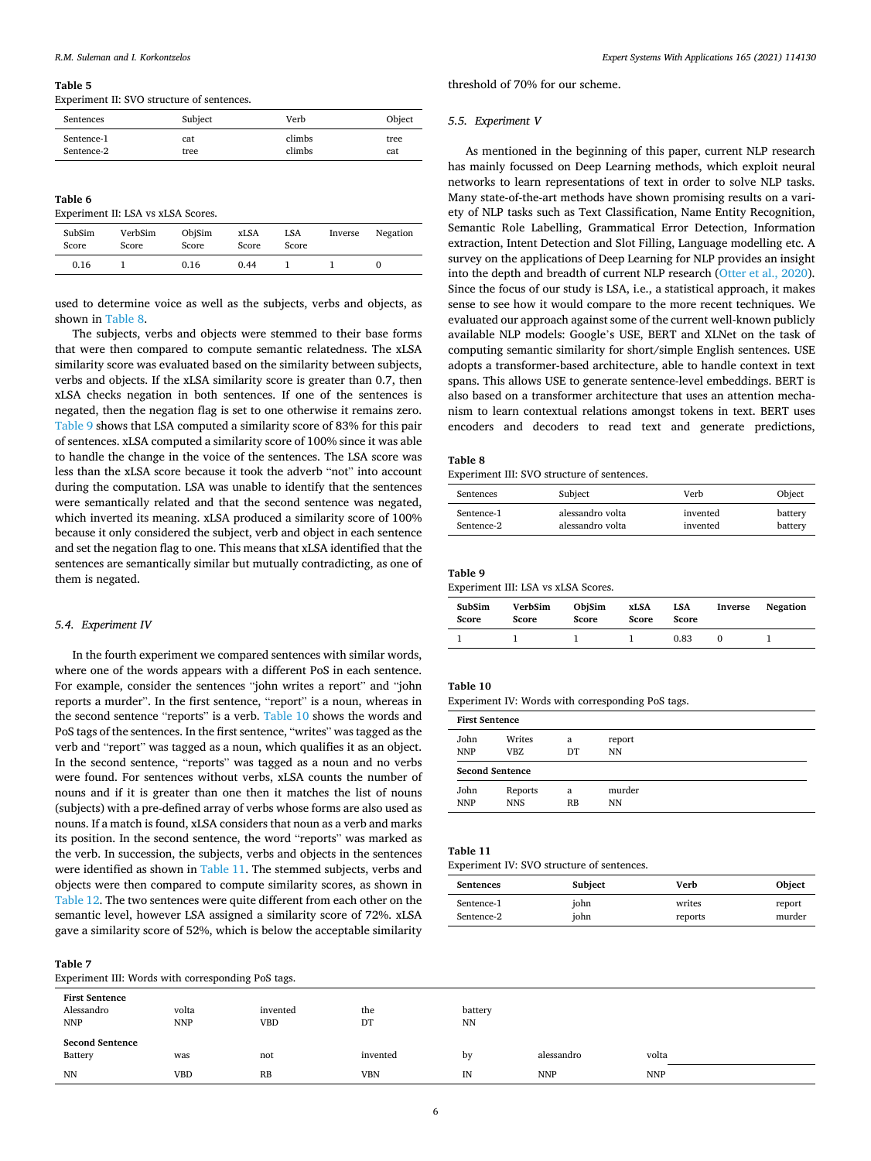#### <span id="page-5-0"></span>**Table 5**

Experiment II: SVO structure of sentences.

| Sentences  | Subject | Verb   | Object |
|------------|---------|--------|--------|
| Sentence-1 | cat     | climbs | tree   |
| Sentence-2 | tree    | climbs | cat    |

### **Table 6**

Experiment II: LSA vs xLSA Scores.

| SubSim<br>Score | VerbSim<br>Score | ObjSim<br>Score | xLSA<br>Score | LSA<br>Score | Inverse | Negation |
|-----------------|------------------|-----------------|---------------|--------------|---------|----------|
| 0.16            |                  | 0.16            | 0.44          |              |         |          |

used to determine voice as well as the subjects, verbs and objects, as shown in Table 8.

The subjects, verbs and objects were stemmed to their base forms that were then compared to compute semantic relatedness. The xLSA similarity score was evaluated based on the similarity between subjects, verbs and objects. If the xLSA similarity score is greater than 0.7, then xLSA checks negation in both sentences. If one of the sentences is negated, then the negation flag is set to one otherwise it remains zero. Table 9 shows that LSA computed a similarity score of 83% for this pair of sentences. xLSA computed a similarity score of 100% since it was able to handle the change in the voice of the sentences. The LSA score was less than the xLSA score because it took the adverb "not" into account during the computation. LSA was unable to identify that the sentences were semantically related and that the second sentence was negated, which inverted its meaning. xLSA produced a similarity score of 100% because it only considered the subject, verb and object in each sentence and set the negation flag to one. This means that xLSA identified that the sentences are semantically similar but mutually contradicting, as one of them is negated.

### *5.4. Experiment IV*

In the fourth experiment we compared sentences with similar words, where one of the words appears with a different PoS in each sentence. For example, consider the sentences "john writes a report" and "john reports a murder". In the first sentence, "report" is a noun, whereas in the second sentence "reports" is a verb. Table 10 shows the words and PoS tags of the sentences. In the first sentence, "writes" was tagged as the verb and "report" was tagged as a noun, which qualifies it as an object. In the second sentence, "reports" was tagged as a noun and no verbs were found. For sentences without verbs, xLSA counts the number of nouns and if it is greater than one then it matches the list of nouns (subjects) with a pre-defined array of verbs whose forms are also used as nouns. If a match is found, xLSA considers that noun as a verb and marks its position. In the second sentence, the word "reports" was marked as the verb. In succession, the subjects, verbs and objects in the sentences were identified as shown in Table 11. The stemmed subjects, verbs and objects were then compared to compute similarity scores, as shown in [Table 12](#page-6-0). The two sentences were quite different from each other on the semantic level, however LSA assigned a similarity score of 72%. xLSA gave a similarity score of 52%, which is below the acceptable similarity

## **Table 7**

Experiment III: Words with corresponding PoS tags.

threshold of 70% for our scheme.

### *5.5. Experiment V*

As mentioned in the beginning of this paper, current NLP research has mainly focussed on Deep Learning methods, which exploit neural networks to learn representations of text in order to solve NLP tasks. Many state-of-the-art methods have shown promising results on a variety of NLP tasks such as Text Classification, Name Entity Recognition, Semantic Role Labelling, Grammatical Error Detection, Information extraction, Intent Detection and Slot Filling, Language modelling etc. A survey on the applications of Deep Learning for NLP provides an insight into the depth and breadth of current NLP research [\(Otter et al., 2020](#page-8-0)). Since the focus of our study is LSA, i.e., a statistical approach, it makes sense to see how it would compare to the more recent techniques. We evaluated our approach against some of the current well-known publicly available NLP models: Google's USE, BERT and XLNet on the task of computing semantic similarity for short/simple English sentences. USE adopts a transformer-based architecture, able to handle context in text spans. This allows USE to generate sentence-level embeddings. BERT is also based on a transformer architecture that uses an attention mechanism to learn contextual relations amongst tokens in text. BERT uses encoders and decoders to read text and generate predictions,

# **Table 8**

Experiment III: SVO structure of sentences.

| Sentences  | Subject          | Verb     | Object  |
|------------|------------------|----------|---------|
| Sentence-1 | alessandro volta | invented | battery |
| Sentence-2 | alessandro volta | invented | battery |

| SubSim<br>Score | VerbSim<br>Score | ObjSim<br>Score | xLSA<br>Score | <b>LSA</b><br>Score | Inverse | Negation |
|-----------------|------------------|-----------------|---------------|---------------------|---------|----------|
|                 |                  |                 |               | 0.83                |         |          |

#### **Table 10**

Experiment IV: Words with corresponding PoS tags.

| <b>First Sentence</b> |                        |           |        |  |  |
|-----------------------|------------------------|-----------|--------|--|--|
| John                  | Writes                 | a         | report |  |  |
| <b>NNP</b>            | VBZ                    | DT        | NN     |  |  |
|                       | <b>Second Sentence</b> |           |        |  |  |
| John                  | Reports                | a         | murder |  |  |
| <b>NNP</b>            | <b>NNS</b>             | <b>RB</b> | NΝ     |  |  |

### **Table 11**

| Sentences  | Subject | Verb    | Object |
|------------|---------|---------|--------|
| Sentence-1 | john    | writes  | report |
| Sentence-2 | john    | reports | murder |

| <b>First Sentence</b><br>Alessandro<br><b>NNP</b> | volta<br><b>NNP</b> | invented<br><b>VBD</b> | the<br>DT  | battery<br><b>NN</b> |            |            |
|---------------------------------------------------|---------------------|------------------------|------------|----------------------|------------|------------|
| <b>Second Sentence</b><br><b>Battery</b>          | was                 | not                    | invented   | bv                   | alessandro | volta      |
| NN                                                | VBD                 | <b>RB</b>              | <b>VBN</b> | IN                   | <b>NNP</b> | <b>NNP</b> |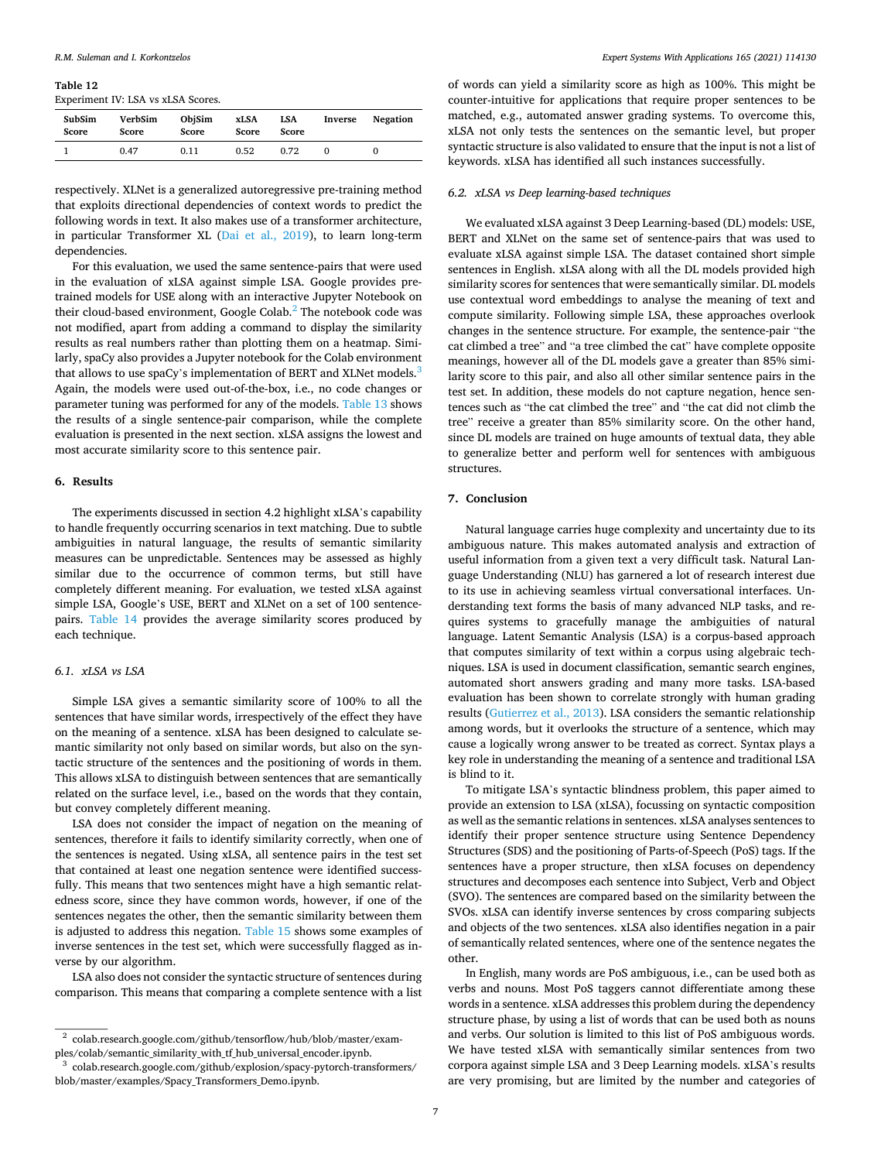#### <span id="page-6-0"></span>**Table 12**  Experiment IV: LSA vs xLSA Scores.

| SubSim<br>Score | VerbSim<br>Score | ObjSim<br>Score | xLSA<br>Score | LSA<br>Score | Inverse | <b>Negation</b> |
|-----------------|------------------|-----------------|---------------|--------------|---------|-----------------|
|                 | 0.47             | 0.11            | 0.52          | 0.72         |         |                 |

respectively. XLNet is a generalized autoregressive pre-training method that exploits directional dependencies of context words to predict the following words in text. It also makes use of a transformer architecture, in particular Transformer XL [\(Dai et al., 2019](#page-7-0)), to learn long-term dependencies.

For this evaluation, we used the same sentence-pairs that were used in the evaluation of xLSA against simple LSA. Google provides pretrained models for USE along with an interactive Jupyter Notebook on their cloud-based environment, Google Colab.<sup>2</sup> The notebook code was not modified, apart from adding a command to display the similarity results as real numbers rather than plotting them on a heatmap. Similarly, spaCy also provides a Jupyter notebook for the Colab environment that allows to use spaCy's implementation of BERT and XLNet models.<sup>3</sup> Again, the models were used out-of-the-box, i.e., no code changes or parameter tuning was performed for any of the models. [Table 13](#page-7-0) shows the results of a single sentence-pair comparison, while the complete evaluation is presented in the next section. xLSA assigns the lowest and most accurate similarity score to this sentence pair.

### **6. Results**

The experiments discussed in section 4.2 highlight xLSA's capability to handle frequently occurring scenarios in text matching. Due to subtle ambiguities in natural language, the results of semantic similarity measures can be unpredictable. Sentences may be assessed as highly similar due to the occurrence of common terms, but still have completely different meaning. For evaluation, we tested xLSA against simple LSA, Google's USE, BERT and XLNet on a set of 100 sentencepairs. [Table 14](#page-7-0) provides the average similarity scores produced by each technique.

### *6.1. xLSA vs LSA*

Simple LSA gives a semantic similarity score of 100% to all the sentences that have similar words, irrespectively of the effect they have on the meaning of a sentence. xLSA has been designed to calculate semantic similarity not only based on similar words, but also on the syntactic structure of the sentences and the positioning of words in them. This allows xLSA to distinguish between sentences that are semantically related on the surface level, i.e., based on the words that they contain, but convey completely different meaning.

LSA does not consider the impact of negation on the meaning of sentences, therefore it fails to identify similarity correctly, when one of the sentences is negated. Using xLSA, all sentence pairs in the test set that contained at least one negation sentence were identified successfully. This means that two sentences might have a high semantic relatedness score, since they have common words, however, if one of the sentences negates the other, then the semantic similarity between them is adjusted to address this negation. [Table 15](#page-7-0) shows some examples of inverse sentences in the test set, which were successfully flagged as inverse by our algorithm.

LSA also does not consider the syntactic structure of sentences during comparison. This means that comparing a complete sentence with a list

of words can yield a similarity score as high as 100%. This might be counter-intuitive for applications that require proper sentences to be matched, e.g., automated answer grading systems. To overcome this, xLSA not only tests the sentences on the semantic level, but proper syntactic structure is also validated to ensure that the input is not a list of keywords. xLSA has identified all such instances successfully.

### *6.2. xLSA vs Deep learning-based techniques*

We evaluated xLSA against 3 Deep Learning-based (DL) models: USE, BERT and XLNet on the same set of sentence-pairs that was used to evaluate xLSA against simple LSA. The dataset contained short simple sentences in English. xLSA along with all the DL models provided high similarity scores for sentences that were semantically similar. DL models use contextual word embeddings to analyse the meaning of text and compute similarity. Following simple LSA, these approaches overlook changes in the sentence structure. For example, the sentence-pair "the cat climbed a tree" and "a tree climbed the cat" have complete opposite meanings, however all of the DL models gave a greater than 85% similarity score to this pair, and also all other similar sentence pairs in the test set. In addition, these models do not capture negation, hence sentences such as "the cat climbed the tree" and "the cat did not climb the tree" receive a greater than 85% similarity score. On the other hand, since DL models are trained on huge amounts of textual data, they able to generalize better and perform well for sentences with ambiguous structures.

# **7. Conclusion**

Natural language carries huge complexity and uncertainty due to its ambiguous nature. This makes automated analysis and extraction of useful information from a given text a very difficult task. Natural Language Understanding (NLU) has garnered a lot of research interest due to its use in achieving seamless virtual conversational interfaces. Understanding text forms the basis of many advanced NLP tasks, and requires systems to gracefully manage the ambiguities of natural language. Latent Semantic Analysis (LSA) is a corpus-based approach that computes similarity of text within a corpus using algebraic techniques. LSA is used in document classification, semantic search engines, automated short answers grading and many more tasks. LSA-based evaluation has been shown to correlate strongly with human grading results ([Gutierrez et al., 2013](#page-7-0)). LSA considers the semantic relationship among words, but it overlooks the structure of a sentence, which may cause a logically wrong answer to be treated as correct. Syntax plays a key role in understanding the meaning of a sentence and traditional LSA is blind to it.

To mitigate LSA's syntactic blindness problem, this paper aimed to provide an extension to LSA (xLSA), focussing on syntactic composition as well as the semantic relations in sentences. xLSA analyses sentences to identify their proper sentence structure using Sentence Dependency Structures (SDS) and the positioning of Parts-of-Speech (PoS) tags. If the sentences have a proper structure, then xLSA focuses on dependency structures and decomposes each sentence into Subject, Verb and Object (SVO). The sentences are compared based on the similarity between the SVOs. xLSA can identify inverse sentences by cross comparing subjects and objects of the two sentences. xLSA also identifies negation in a pair of semantically related sentences, where one of the sentence negates the other.

In English, many words are PoS ambiguous, i.e., can be used both as verbs and nouns. Most PoS taggers cannot differentiate among these words in a sentence. xLSA addresses this problem during the dependency structure phase, by using a list of words that can be used both as nouns and verbs. Our solution is limited to this list of PoS ambiguous words. We have tested xLSA with semantically similar sentences from two corpora against simple LSA and 3 Deep Learning models. xLSA's results are very promising, but are limited by the number and categories of

 $^{\rm 2}$  colab.research.google.com/github/tensorflow/hub/blob/master/examples/colab/semantic\_similarity\_with\_tf\_hub\_universal\_encoder.ipynb.

<sup>3</sup> colab.research.google.com/github/explosion/spacy-pytorch-transformers/ blob/master/examples/Spacy\_Transformers\_Demo.ipynb.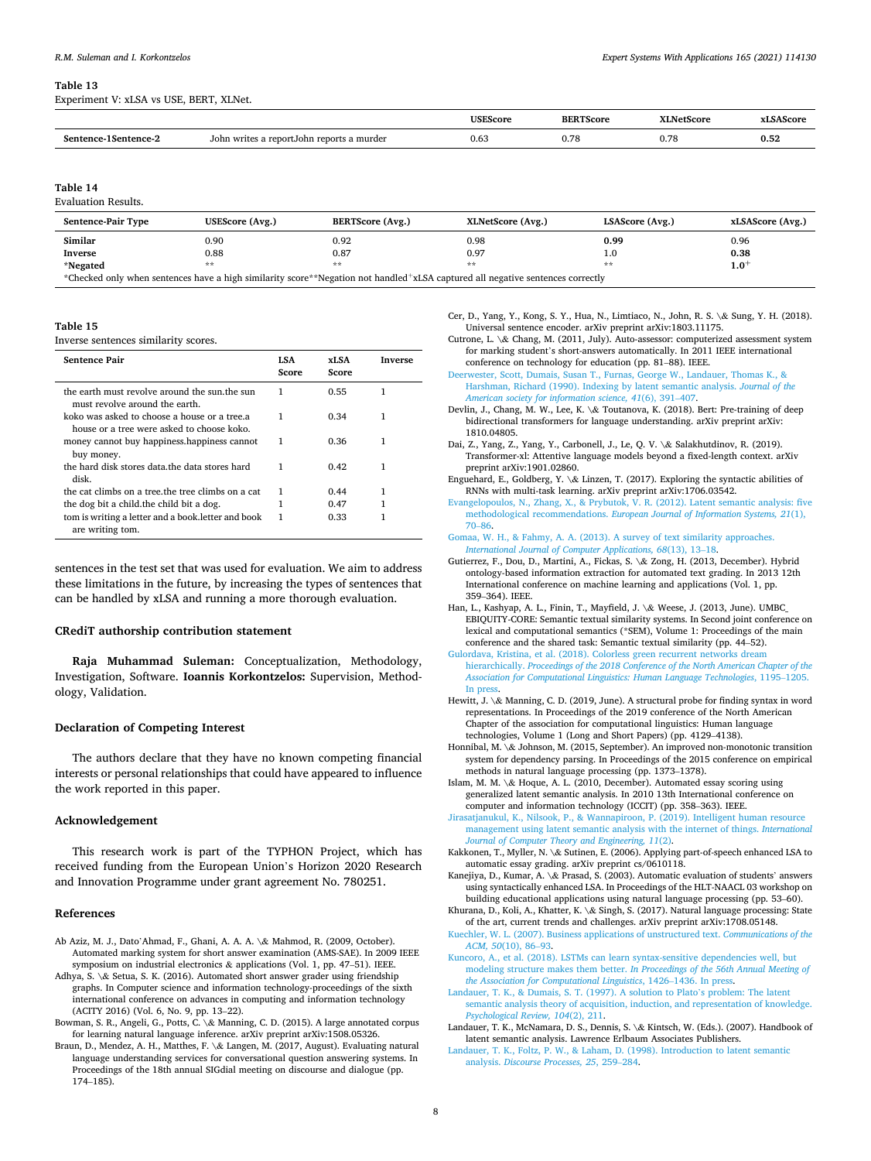### <span id="page-7-0"></span>**Table 13**

Experiment V: xLSA vs USE, BERT, XLNet.

|                        |                                                            | <b>ISEScore</b> | <b>BERTScore</b> | <b>XI NetScore</b> | ' SAScore |
|------------------------|------------------------------------------------------------|-----------------|------------------|--------------------|-----------|
| Sentence-.<br>Sentence | a murder<br>ı renori<br>tJohn report<br>John writes a<br>. | 0.63<br>.       | 0.78             | 0.78<br>$  -$      | 0.52      |

### **Table 14**

Evaluation Results.

| Sentence-Pair Type                                                                                                             | USEScore (Avg.) | <b>BERTScore (Avg.)</b> | XLNetScore (Avg.) | LSAScore (Avg.) | xLSAScore (Avg.) |  |
|--------------------------------------------------------------------------------------------------------------------------------|-----------------|-------------------------|-------------------|-----------------|------------------|--|
| Similar                                                                                                                        | 0.90            | 0.92                    | 0.98              | 0.99            | 0.96             |  |
| Inverse                                                                                                                        | 0.88            | 0.87                    | 0.97              | 1.0             | 0.38             |  |
| *Negated                                                                                                                       | **              | **                      | **                | **              | $1.0^{+}$        |  |
| *Checked only when sentences have a high similarity score**Negation not handled+xLSA captured all negative sentences correctly |                 |                         |                   |                 |                  |  |

**Table 15** 

Inverse sentences similarity scores.

| <b>Sentence Pair</b>                                                                       | <b>LSA</b><br>Score | xLSA<br>Score | Inverse |
|--------------------------------------------------------------------------------------------|---------------------|---------------|---------|
| the earth must revolve around the sun the sun<br>must revolve around the earth.            | 1                   | 0.55          | 1       |
| koko was asked to choose a house or a tree a<br>house or a tree were asked to choose koko. | 1                   | 0.34          | 1       |
| money cannot buy happiness.happiness cannot<br>buy money.                                  | 1                   | 0.36          |         |
| the hard disk stores data the data stores hard<br>disk.                                    | 1                   | 0.42          |         |
| the cat climbs on a tree the tree climbs on a cat                                          | 1                   | 0.44          |         |
| the dog bit a child the child bit a dog.                                                   |                     | 0.47          |         |
| tom is writing a letter and a book. letter and book<br>are writing tom.                    | 1                   | 0.33          |         |

sentences in the test set that was used for evaluation. We aim to address these limitations in the future, by increasing the types of sentences that can be handled by xLSA and running a more thorough evaluation.

### **CRediT authorship contribution statement**

**Raja Muhammad Suleman:** Conceptualization, Methodology, Investigation, Software. **Ioannis Korkontzelos:** Supervision, Methodology, Validation.

# **Declaration of Competing Interest**

The authors declare that they have no known competing financial interests or personal relationships that could have appeared to influence the work reported in this paper.

# **Acknowledgement**

This research work is part of the TYPHON Project, which has received funding from the European Union's Horizon 2020 Research and Innovation Programme under grant agreement No. 780251.

# **References**

- Ab Aziz, M. J., Dato'Ahmad, F., Ghani, A. A. A. \& Mahmod, R. (2009, October). Automated marking system for short answer examination (AMS-SAE). In 2009 IEEE symposium on industrial electronics & applications (Vol. 1, pp. 47–51). IEEE.
- Adhya, S. \& Setua, S. K. (2016). Automated short answer grader using friendship graphs. In Computer science and information technology-proceedings of the sixth international conference on advances in computing and information technology (ACITY 2016) (Vol. 6, No. 9, pp. 13–22).
- Bowman, S. R., Angeli, G., Potts, C. \& Manning, C. D. (2015). A large annotated corpus for learning natural language inference. arXiv preprint arXiv:1508.05326.
- Braun, D., Mendez, A. H., Matthes, F. \& Langen, M. (2017, August). Evaluating natural language understanding services for conversational question answering systems. In Proceedings of the 18th annual SIGdial meeting on discourse and dialogue (pp. 174–185).

Cer, D., Yang, Y., Kong, S. Y., Hua, N., Limtiaco, N., John, R. S. \& Sung, Y. H. (2018). Universal sentence encoder. arXiv preprint arXiv:1803.11175.

- Cutrone, L. \& Chang, M. (2011, July). Auto-assessor: computerized assessment system for marking student's short-answers automatically. In 2011 IEEE international conference on technology for education (pp. 81–88). IEEE.
- [Deerwester, Scott, Dumais, Susan T., Furnas, George W., Landauer, Thomas K., &](http://refhub.elsevier.com/S0957-4174(20)30878-2/h9000)  [Harshman, Richard \(1990\). Indexing by latent semantic analysis.](http://refhub.elsevier.com/S0957-4174(20)30878-2/h9000) *Journal of the [American society for information science, 41](http://refhub.elsevier.com/S0957-4174(20)30878-2/h9000)*(6), 391–407.
- Devlin, J., Chang, M. W., Lee, K. \& Toutanova, K. (2018). Bert: Pre-training of deep bidirectional transformers for language understanding. arXiv preprint arXiv: 1810.04805.
- Dai, Z., Yang, Z., Yang, Y., Carbonell, J., Le, Q. V. \& Salakhutdinov, R. (2019). Transformer-xl: Attentive language models beyond a fixed-length context. arXiv preprint arXiv:1901.02860.
- Enguehard, E., Goldberg, Y. \& Linzen, T. (2017). Exploring the syntactic abilities of RNNs with multi-task learning. arXiv preprint arXiv:1706.03542.
- [Evangelopoulos, N., Zhang, X., & Prybutok, V. R. \(2012\). Latent semantic analysis: five](http://refhub.elsevier.com/S0957-4174(20)30878-2/h0055)  methodological recommendations. *[European Journal of Information Systems, 21](http://refhub.elsevier.com/S0957-4174(20)30878-2/h0055)*(1), 70–[86](http://refhub.elsevier.com/S0957-4174(20)30878-2/h0055).

[Gomaa, W. H., & Fahmy, A. A. \(2013\). A survey of text similarity approaches.](http://refhub.elsevier.com/S0957-4174(20)30878-2/h0065)  *[International Journal of Computer Applications, 68](http://refhub.elsevier.com/S0957-4174(20)30878-2/h0065)*(13), 13–18.

- Gutierrez, F., Dou, D., Martini, A., Fickas, S. \& Zong, H. (2013, December). Hybrid ontology-based information extraction for automated text grading. In 2013 12th International conference on machine learning and applications (Vol. 1, pp. 359–364). IEEE.
- Han, L., Kashyap, A. L., Finin, T., Mayfield, J. \& Weese, J. (2013, June). UMBC\_ EBIQUITY-CORE: Semantic textual similarity systems. In Second joint conference on lexical and computational semantics (\*SEM), Volume 1: Proceedings of the main conference and the shared task: Semantic textual similarity (pp. 44–52).
- [Gulordava, Kristina, et al. \(2018\). Colorless green recurrent networks dream](http://refhub.elsevier.com/S0957-4174(20)30878-2/opt2w8d2s1u3w)  hierarchically. *[Proceedings of the 2018 Conference of the North American Chapter of the](http://refhub.elsevier.com/S0957-4174(20)30878-2/opt2w8d2s1u3w)  [Association for Computational Linguistics: Human Language Technologies](http://refhub.elsevier.com/S0957-4174(20)30878-2/opt2w8d2s1u3w)*, 1195–1205. [In press.](http://refhub.elsevier.com/S0957-4174(20)30878-2/opt2w8d2s1u3w)
- Hewitt, J. \& Manning, C. D. (2019, June). A structural probe for finding syntax in word representations. In Proceedings of the 2019 conference of the North American Chapter of the association for computational linguistics: Human language technologies, Volume 1 (Long and Short Papers) (pp. 4129–4138).
- Honnibal, M. \& Johnson, M. (2015, September). An improved non-monotonic transition system for dependency parsing. In Proceedings of the 2015 conference on empirical methods in natural language processing (pp. 1373–1378).
- Islam, M. M. \& Hoque, A. L. (2010, December). Automated essay scoring using generalized latent semantic analysis. In 2010 13th International conference on computer and information technology (ICCIT) (pp. 358–363). IEEE.
- [Jirasatjanukul, K., Nilsook, P., & Wannapiroon, P. \(2019\). Intelligent human resource](http://refhub.elsevier.com/S0957-4174(20)30878-2/h0100)  [management using latent semantic analysis with the internet of things.](http://refhub.elsevier.com/S0957-4174(20)30878-2/h0100) *International [Journal of Computer Theory and Engineering, 11](http://refhub.elsevier.com/S0957-4174(20)30878-2/h0100)*(2).
- Kakkonen, T., Myller, N. \& Sutinen, E. (2006). Applying part-of-speech enhanced LSA to automatic essay grading. arXiv preprint cs/0610118.
- Kanejiya, D., Kumar, A. \& Prasad, S. (2003). Automatic evaluation of students' answers using syntactically enhanced LSA. In Proceedings of the HLT-NAACL 03 workshop on building educational applications using natural language processing (pp. 53–60).
- Khurana, D., Koli, A., Khatter, K. \& Singh, S. (2017). Natural language processing: State of the art, current trends and challenges. arXiv preprint arXiv:1708.05148.

[Kuechler, W. L. \(2007\). Business applications of unstructured text.](http://refhub.elsevier.com/S0957-4174(20)30878-2/h0120) *Communications of the [ACM, 50](http://refhub.elsevier.com/S0957-4174(20)30878-2/h0120)*(10), 86–93.

- [Kuncoro, A., et al. \(2018\). LSTMs can learn syntax-sensitive dependencies well, but](http://refhub.elsevier.com/S0957-4174(20)30878-2/optwBRqgkCAWg)  modeling structure makes them better. *[In Proceedings of the 56th Annual Meeting of](http://refhub.elsevier.com/S0957-4174(20)30878-2/optwBRqgkCAWg)  [the Association for Computational Linguistics](http://refhub.elsevier.com/S0957-4174(20)30878-2/optwBRqgkCAWg)*, 1426–1436. In press.
- [Landauer, T. K., & Dumais, S. T. \(1997\). A solution to Plato](http://refhub.elsevier.com/S0957-4174(20)30878-2/h0125)'s problem: The latent [semantic analysis theory of acquisition, induction, and representation of knowledge.](http://refhub.elsevier.com/S0957-4174(20)30878-2/h0125)  *[Psychological Review, 104](http://refhub.elsevier.com/S0957-4174(20)30878-2/h0125)*(2), 211.

Landauer, T. K., McNamara, D. S., Dennis, S. \& Kintsch, W. (Eds.). (2007). Handbook of latent semantic analysis. Lawrence Erlbaum Associates Publishers.

[Landauer, T. K., Foltz, P. W., & Laham, D. \(1998\). Introduction to latent semantic](http://refhub.elsevier.com/S0957-4174(20)30878-2/h0135)  analysis. *[Discourse Processes, 25](http://refhub.elsevier.com/S0957-4174(20)30878-2/h0135)*, 259–284.